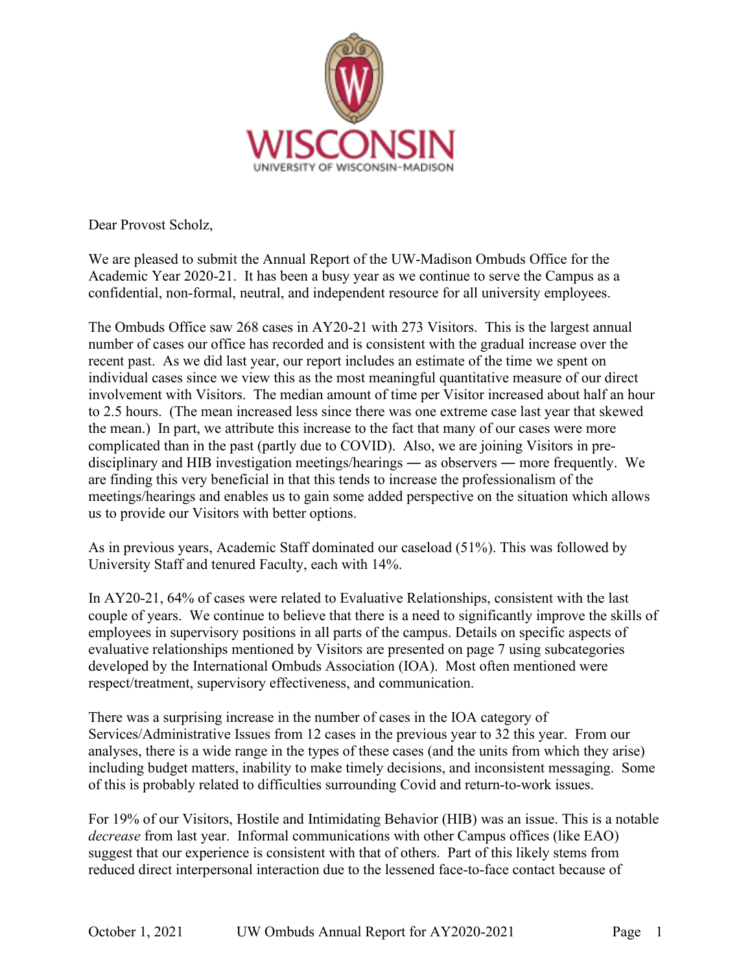

Dear Provost Scholz,

We are pleased to submit the Annual Report of the UW-Madison Ombuds Office for the Academic Year 2020-21. It has been a busy year as we continue to serve the Campus as a confidential, non-formal, neutral, and independent resource for all university employees.

The Ombuds Office saw 268 cases in AY20-21 with 273 Visitors. This is the largest annual number of cases our office has recorded and is consistent with the gradual increase over the recent past. As we did last year, our report includes an estimate of the time we spent on individual cases since we view this as the most meaningful quantitative measure of our direct involvement with Visitors. The median amount of time per Visitor increased about half an hour to 2.5 hours. (The mean increased less since there was one extreme case last year that skewed the mean.) In part, we attribute this increase to the fact that many of our cases were more complicated than in the past (partly due to COVID). Also, we are joining Visitors in predisciplinary and HIB investigation meetings/hearings ― as observers ― more frequently. We are finding this very beneficial in that this tends to increase the professionalism of the meetings/hearings and enables us to gain some added perspective on the situation which allows us to provide our Visitors with better options.

As in previous years, Academic Staff dominated our caseload (51%). This was followed by University Staff and tenured Faculty, each with 14%.

In AY20-21, 64% of cases were related to Evaluative Relationships, consistent with the last couple of years. We continue to believe that there is a need to significantly improve the skills of employees in supervisory positions in all parts of the campus. Details on specific aspects of evaluative relationships mentioned by Visitors are presented on page 7 using subcategories developed by the International Ombuds Association (IOA). Most often mentioned were respect/treatment, supervisory effectiveness, and communication.

There was a surprising increase in the number of cases in the IOA category of Services/Administrative Issues from 12 cases in the previous year to 32 this year. From our analyses, there is a wide range in the types of these cases (and the units from which they arise) including budget matters, inability to make timely decisions, and inconsistent messaging. Some of this is probably related to difficulties surrounding Covid and return-to-work issues.

For 19% of our Visitors, Hostile and Intimidating Behavior (HIB) was an issue. This is a notable *decrease* from last year. Informal communications with other Campus offices (like EAO) suggest that our experience is consistent with that of others. Part of this likely stems from reduced direct interpersonal interaction due to the lessened face-to-face contact because of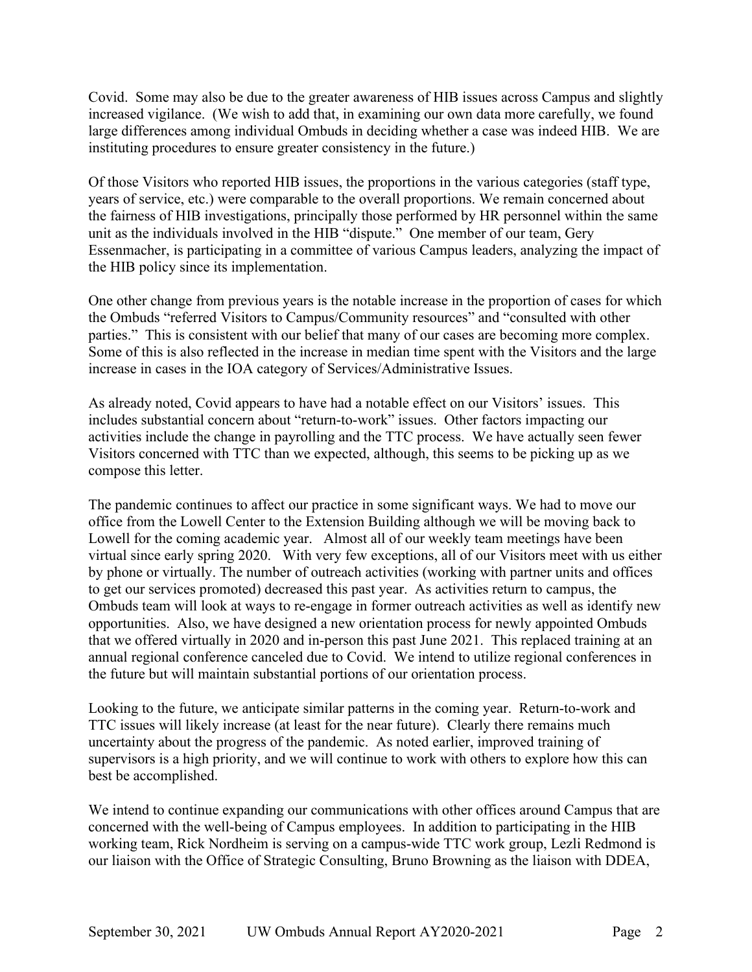Covid. Some may also be due to the greater awareness of HIB issues across Campus and slightly increased vigilance. (We wish to add that, in examining our own data more carefully, we found large differences among individual Ombuds in deciding whether a case was indeed HIB. We are instituting procedures to ensure greater consistency in the future.)

Of those Visitors who reported HIB issues, the proportions in the various categories (staff type, years of service, etc.) were comparable to the overall proportions. We remain concerned about the fairness of HIB investigations, principally those performed by HR personnel within the same unit as the individuals involved in the HIB "dispute." One member of our team, Gery Essenmacher, is participating in a committee of various Campus leaders, analyzing the impact of the HIB policy since its implementation.

One other change from previous years is the notable increase in the proportion of cases for which the Ombuds "referred Visitors to Campus/Community resources" and "consulted with other parties." This is consistent with our belief that many of our cases are becoming more complex. Some of this is also reflected in the increase in median time spent with the Visitors and the large increase in cases in the IOA category of Services/Administrative Issues.

As already noted, Covid appears to have had a notable effect on our Visitors' issues. This includes substantial concern about "return-to-work" issues. Other factors impacting our activities include the change in payrolling and the TTC process. We have actually seen fewer Visitors concerned with TTC than we expected, although, this seems to be picking up as we compose this letter.

The pandemic continues to affect our practice in some significant ways. We had to move our office from the Lowell Center to the Extension Building although we will be moving back to Lowell for the coming academic year. Almost all of our weekly team meetings have been virtual since early spring 2020. With very few exceptions, all of our Visitors meet with us either by phone or virtually. The number of outreach activities (working with partner units and offices to get our services promoted) decreased this past year. As activities return to campus, the Ombuds team will look at ways to re-engage in former outreach activities as well as identify new opportunities. Also, we have designed a new orientation process for newly appointed Ombuds that we offered virtually in 2020 and in-person this past June 2021. This replaced training at an annual regional conference canceled due to Covid. We intend to utilize regional conferences in the future but will maintain substantial portions of our orientation process.

Looking to the future, we anticipate similar patterns in the coming year. Return-to-work and TTC issues will likely increase (at least for the near future). Clearly there remains much uncertainty about the progress of the pandemic. As noted earlier, improved training of supervisors is a high priority, and we will continue to work with others to explore how this can best be accomplished.

We intend to continue expanding our communications with other offices around Campus that are concerned with the well-being of Campus employees. In addition to participating in the HIB working team, Rick Nordheim is serving on a campus-wide TTC work group, Lezli Redmond is our liaison with the Office of Strategic Consulting, Bruno Browning as the liaison with DDEA,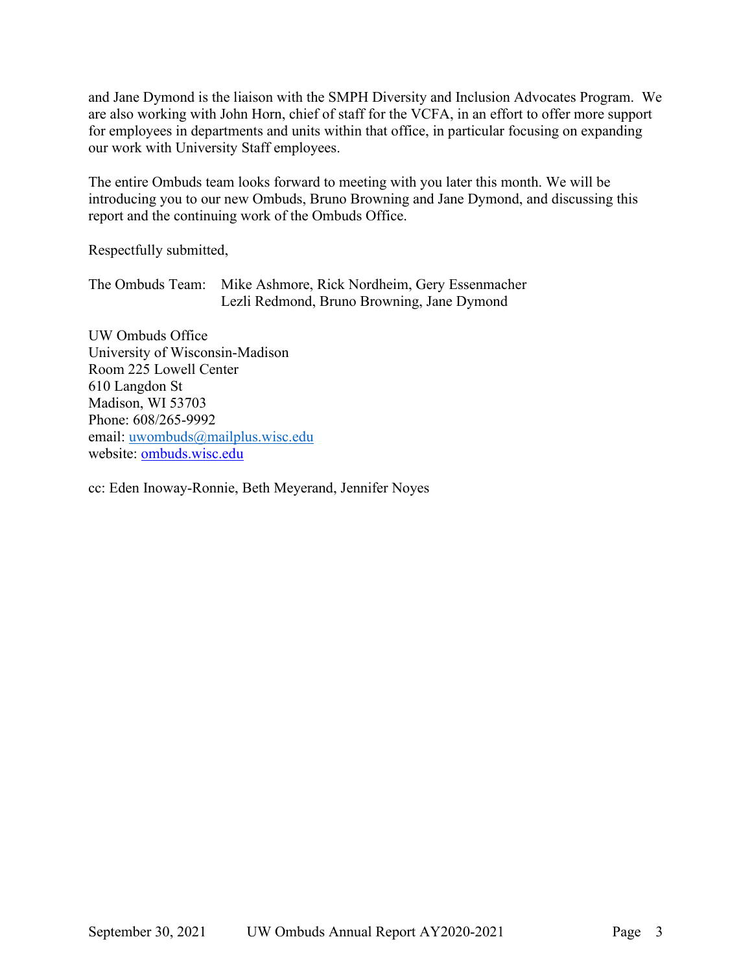and Jane Dymond is the liaison with the SMPH Diversity and Inclusion Advocates Program. We are also working with John Horn, chief of staff for the VCFA, in an effort to offer more support for employees in departments and units within that office, in particular focusing on expanding our work with University Staff employees.

The entire Ombuds team looks forward to meeting with you later this month. We will be introducing you to our new Ombuds, Bruno Browning and Jane Dymond, and discussing this report and the continuing work of the Ombuds Office.

Respectfully submitted,

The Ombuds Team: Mike Ashmore, Rick Nordheim, Gery Essenmacher Lezli Redmond, Bruno Browning, Jane Dymond

UW Ombuds Office University of Wisconsin-Madison Room 225 Lowell Center 610 Langdon St Madison, WI 53703 Phone: 608/265-9992 email: [uwombuds@mailplus.wisc.edu](mailto:uwombuds@mailplus.wisc.edu) website: [ombuds.wisc.edu](https://ombuds.wisc.edu/)

cc: Eden Inoway-Ronnie, Beth Meyerand, Jennifer Noyes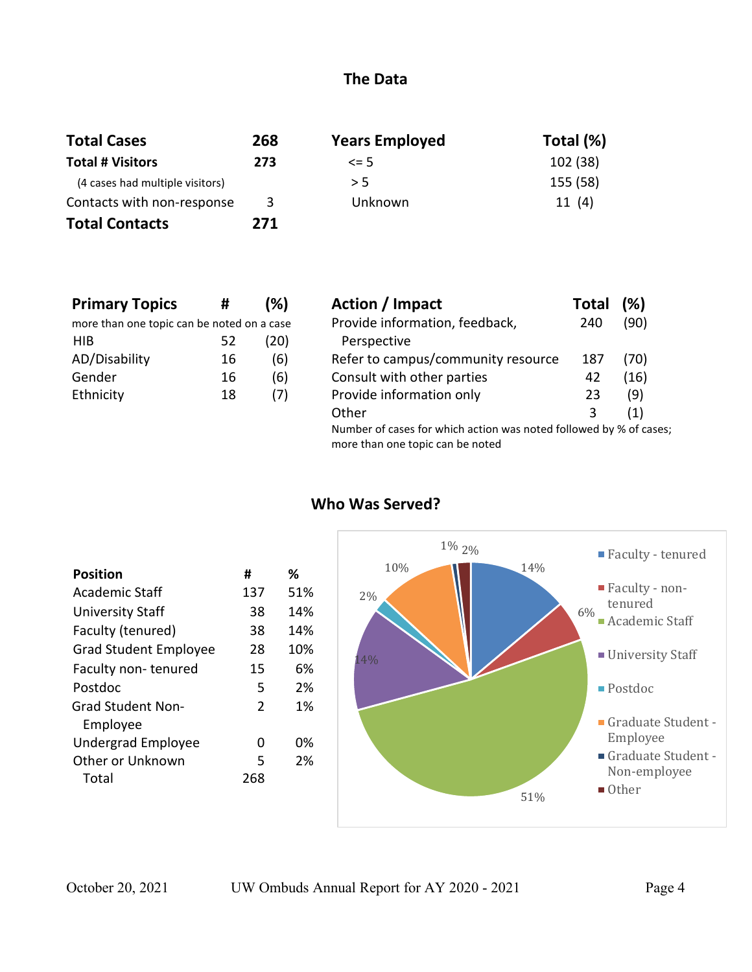#### **The Data**

| <b>Total Cases</b>              | 268 | <b>Years Employed</b> | Total (%) |
|---------------------------------|-----|-----------------------|-----------|
| <b>Total # Visitors</b>         | 273 | $\leq$ 5              | 102 (38)  |
| (4 cases had multiple visitors) |     | > 5                   | 155 (58)  |
| Contacts with non-response      | 3   | Unknown               | 11(4)     |
| <b>Total Contacts</b>           | 271 |                       |           |

| <b>Primary Topics</b>                      | #  | (%)  | Action / Im   |
|--------------------------------------------|----|------|---------------|
| more than one topic can be noted on a case |    |      | Provide infor |
| <b>HIB</b>                                 | 52 | (20) | Perspective   |
| AD/Disability                              | 16 | (6)  | Refer to cam  |
| Gender                                     | 16 | (6)  | Consult with  |
| Ethnicity                                  | 18 | (7)  | Provide infor |
|                                            |    |      |               |

| <b>Primary Topics</b>                      | #  | (%)                                                                                                    | Action / Impact                    | Total | (%)  |
|--------------------------------------------|----|--------------------------------------------------------------------------------------------------------|------------------------------------|-------|------|
| more than one topic can be noted on a case |    |                                                                                                        | Provide information, feedback,     | 240   | (90) |
| <b>HIB</b>                                 | 52 | (20)                                                                                                   | Perspective                        |       |      |
| AD/Disability                              | 16 | (6)                                                                                                    | Refer to campus/community resource | 187   | (70) |
| Gender                                     | 16 | (6)                                                                                                    | Consult with other parties         | 42    | (16) |
| Ethnicity                                  | 18 | (7)                                                                                                    | Provide information only           | 23    | (9)  |
|                                            |    |                                                                                                        | Other                              | 3     | (1)  |
|                                            |    | Number of cases for which action was noted followed by % of cases;<br>more than one topic can be noted |                                    |       |      |

| <b>Position</b>              | #             | %   |
|------------------------------|---------------|-----|
| <b>Academic Staff</b>        | 137           | 51% |
| <b>University Staff</b>      | 38            | 14% |
| Faculty (tenured)            | 38            | 14% |
| <b>Grad Student Employee</b> | 28            | 10% |
| Faculty non-tenured          | 15            | 6%  |
| Postdoc                      | 5             | 2%  |
| <b>Grad Student Non-</b>     | $\mathcal{P}$ | 1%  |
| Employee                     |               |     |
| <b>Undergrad Employee</b>    | O             | በ%  |
| Other or Unknown             | 5             | 2%  |
| Total                        | 268           |     |
|                              |               |     |

## **Who Was Served?**

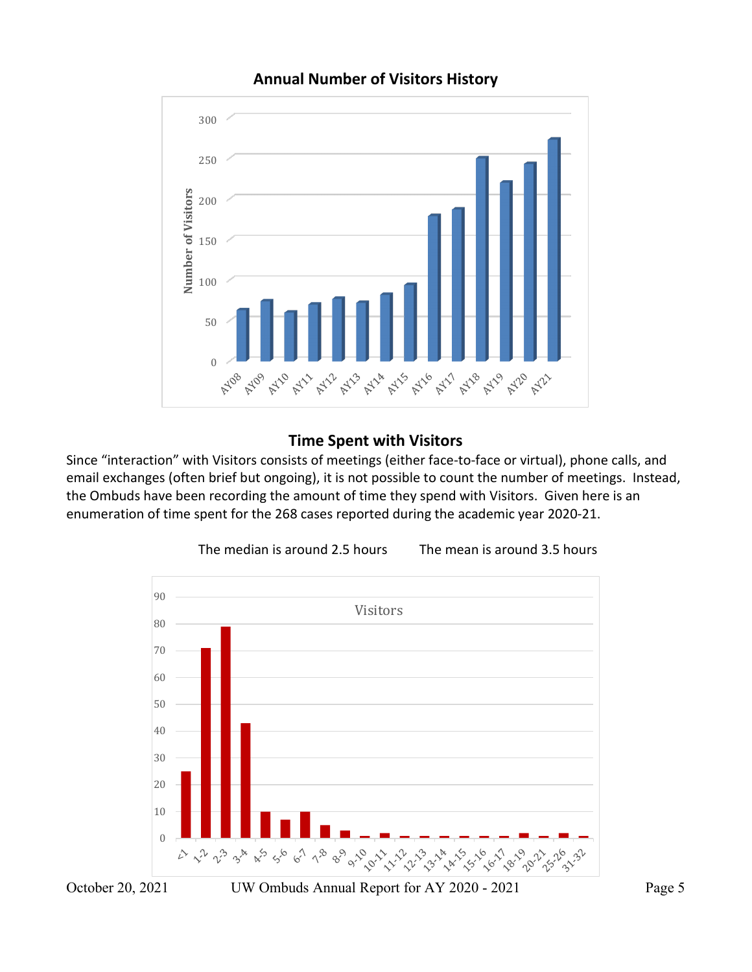

# **Annual Number of Visitors History**

## **Time Spent with Visitors**

Since "interaction" with Visitors consists of meetings (either face-to-face or virtual), phone calls, and email exchanges (often brief but ongoing), it is not possible to count the number of meetings. Instead, the Ombuds have been recording the amount of time they spend with Visitors. Given here is an enumeration of time spent for the 268 cases reported during the academic year 2020-21.

The median is around 2.5 hours The mean is around 3.5 hours

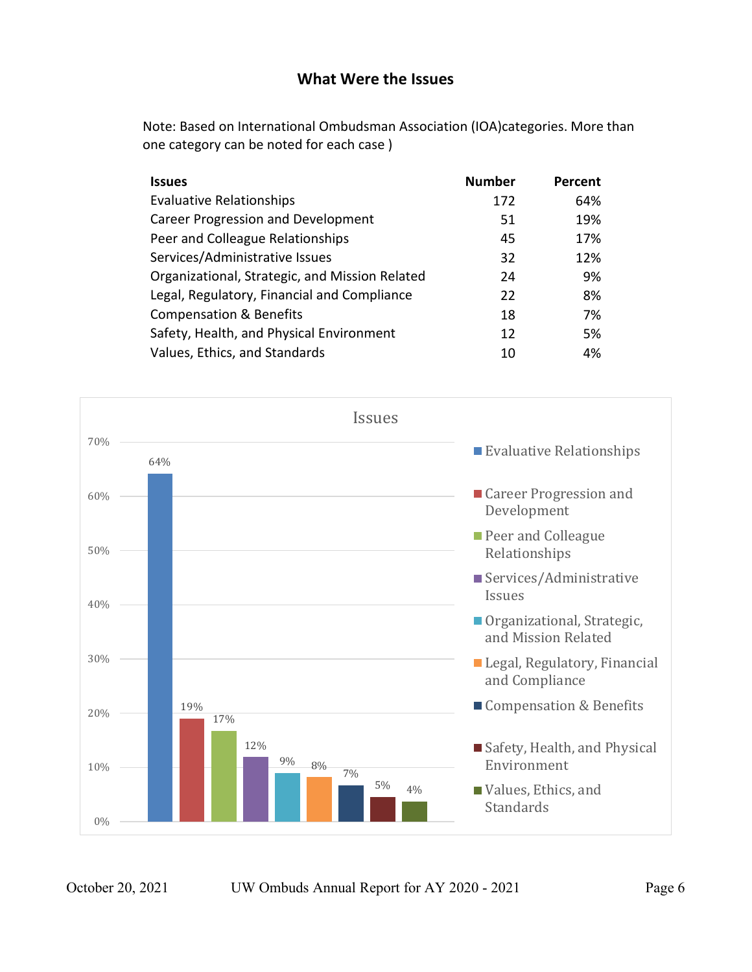#### **What Were the Issues**

Note: Based on International Ombudsman Association (IOA)categories. More than one category can be noted for each case )

| <b>Issues</b>                                  | <b>Number</b> | Percent |
|------------------------------------------------|---------------|---------|
| <b>Evaluative Relationships</b>                | 172           | 64%     |
| <b>Career Progression and Development</b>      | 51            | 19%     |
| Peer and Colleague Relationships               | 45            | 17%     |
| Services/Administrative Issues                 | 32            | 12%     |
| Organizational, Strategic, and Mission Related | 24            | 9%      |
| Legal, Regulatory, Financial and Compliance    | 22            | 8%      |
| <b>Compensation &amp; Benefits</b>             | 18            | 7%      |
| Safety, Health, and Physical Environment       | 12            | 5%      |
| Values, Ethics, and Standards                  | 10            | 4%      |

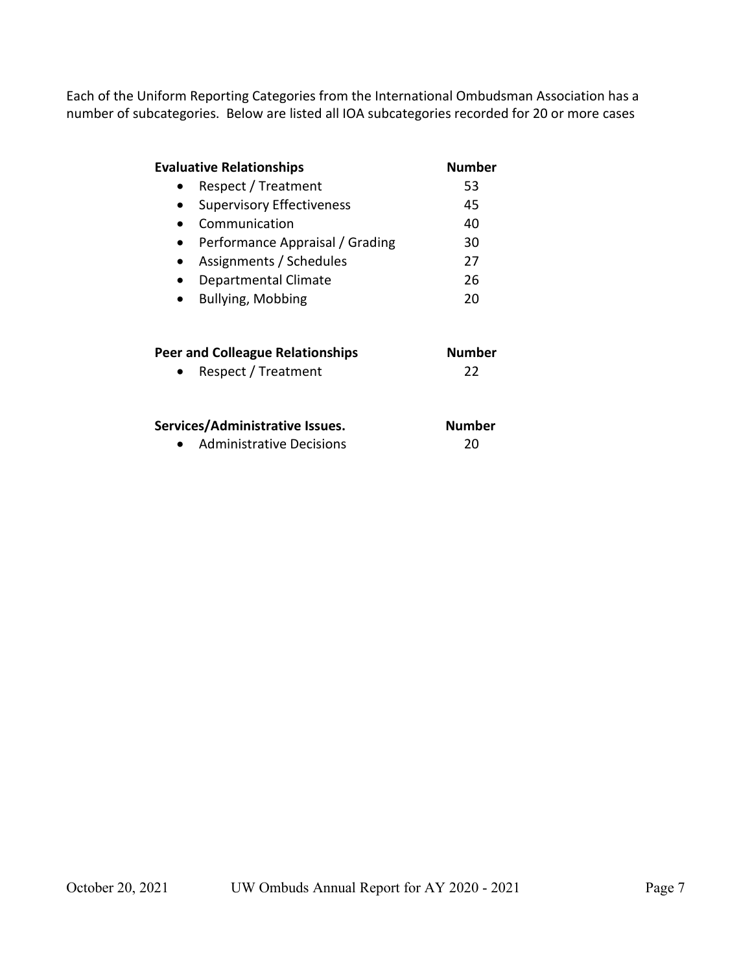Each of the Uniform Reporting Categories from the International Ombudsman Association has a number of subcategories. Below are listed all IOA subcategories recorded for 20 or more cases

| <b>Evaluative Relationships</b>                                    | <b>Number</b>       |
|--------------------------------------------------------------------|---------------------|
| Respect / Treatment                                                | 53                  |
| <b>Supervisory Effectiveness</b>                                   | 45                  |
| Communication                                                      | 40                  |
| Performance Appraisal / Grading                                    | 30                  |
| Assignments / Schedules                                            | 27                  |
| Departmental Climate                                               | 26                  |
| Bullying, Mobbing                                                  | 20                  |
| <b>Peer and Colleague Relationships</b><br>Respect / Treatment     | <b>Number</b><br>22 |
| Services/Administrative Issues.<br><b>Administrative Decisions</b> | Number<br>20        |